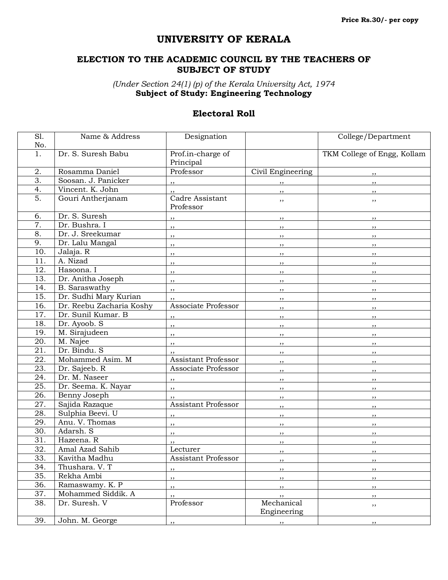## **UNIVERSITY OF KERALA**

## **ELECTION TO THE ACADEMIC COUNCIL BY THE TEACHERS OF SUBJECT OF STUDY**

*(Under Section 24(1) (p) of the Kerala University Act, 1974* **Subject of Study: Engineering Technology**

## **Electoral Roll**

| $\overline{SI}$ . | Name & Address           | Designation                  |                           | College/Department          |
|-------------------|--------------------------|------------------------------|---------------------------|-----------------------------|
| No.               |                          |                              |                           |                             |
| 1.                | Dr. S. Suresh Babu       | Prof.in-charge of            |                           | TKM College of Engg, Kollam |
|                   |                          | Principal                    |                           |                             |
| 2.                | Rosamma Daniel           | Professor                    | Civil Engineering         | , ,                         |
| $\overline{3}$ .  | Soosan. J. Panicker      | $, \,$                       | $, \,$                    | , ,                         |
| 4.                | Vincent. K. John         | ,,                           | $, \,$                    | , ,                         |
| $\overline{5}$ .  | Gouri Antherjanam        | Cadre Assistant<br>Professor | ,,                        | ,,                          |
| 6.                | Dr. S. Suresh            | $, \,$                       | ,,                        | ,,                          |
| $\overline{7}$ .  | Dr. Bushra. I            | ,,                           | ,,                        | , ,                         |
| 8.                | Dr. J. Sreekumar         | ,,                           | ,,                        | , ,                         |
| 9.                | Dr. Lalu Mangal          | ,,                           | ,,                        | , ,                         |
| 10.               | Jalaja. R                | ,,                           | ,,                        | ,,                          |
| 11.               | A. Nizad                 | ,,                           | $, \,$                    | $, \,$                      |
| 12.               | Hasoona. I               | $, \,$                       | $, \,$                    | , ,                         |
| 13.               | Dr. Anitha Joseph        | $, \,$                       | $, \,$                    | , ,                         |
| 14.               | B. Saraswathy            | ,,                           | $, \,$                    | , ,                         |
| 15.               | Dr. Sudhi Mary Kurian    | ,,                           | $, \,$                    | , ,                         |
| 16.               | Dr. Reebu Zacharia Koshy | Associate Professor          | ,,                        | , ,                         |
| 17.               | Dr. Sunil Kumar. B       | $, \,$                       | ,,                        | , ,                         |
| 18.               | Dr. Ayoob. S             | ,,                           | ,,                        | ,,                          |
| 19.               | M. Sirajudeen            | $, \,$                       | $, \,$                    | , ,                         |
| 20.               | M. Najee                 | ,,                           | ,,                        | $, \,$                      |
| 21.               | Dr. Bindu. S             | ,,                           | $, \,$                    | $, \,$                      |
| $\overline{22}$ . | Mohammed Asim. M         | <b>Assistant Professor</b>   | ,,                        | $, \,$                      |
| 23.               | Dr. Sajeeb. R            | Associate Professor          | , ,                       | , ,                         |
| 24.               | Dr. M. Naseer            | $, \,$                       | $, \,$                    | , ,                         |
| $\overline{25}$ . | Dr. Seema. K. Nayar      | ,,                           | $, \,$                    | , ,                         |
| 26.               | Benny Joseph             |                              | ,,                        | , ,                         |
| $\overline{27}$ . | Sajida Razaque           | Assistant Professor          | $, \,$                    | $, \,$                      |
| $\overline{28}$ . | Sulphia Beevi. U         | ,,                           | , ,                       | , ,                         |
| 29.               | Anu. V. Thomas           | , ,                          | , ,                       | $, \,$                      |
| 30.               | Adarsh. S                | ,,                           | $, \,$                    | $, \,$                      |
| $\overline{31}$ . | Hazeena. R               | ,,                           | ,,                        | , ,                         |
| $\overline{32}$ . | Amal Azad Sahib          | Lecturer                     | ,,                        | , ,                         |
| 33.               | Kavitha Madhu            | Assistant Professor          |                           |                             |
| 34.               | Thushara. V. T           | ,,                           | , ,                       | ,,                          |
| 35.               | Rekha Ambi               | ,,                           | ,,                        | ,,                          |
| $\overline{36}$ . | Ramaswamy. K. P          | ,,                           | ,,                        | ,,                          |
| 37.               | Mohammed Siddik. A       | ,,                           | ,,                        | , ,                         |
| 38.               | Dr. Suresh. V            | Professor                    | Mechanical<br>Engineering | ,,                          |
| 39.               | John. M. George          | ,,                           | ,,                        | ,,                          |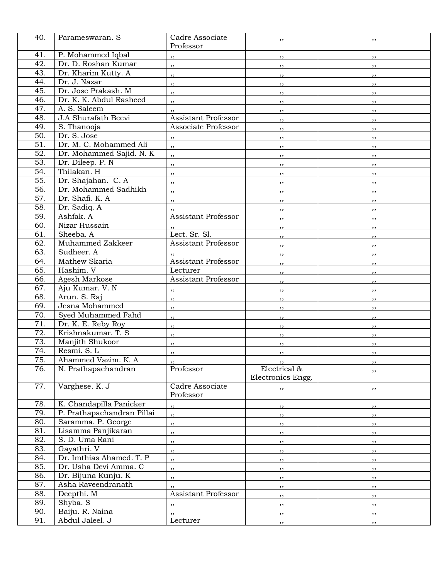| 40.               | Parameswaran. S            | Cadre Associate            | ,,                | ,,        |
|-------------------|----------------------------|----------------------------|-------------------|-----------|
|                   |                            | Professor                  |                   |           |
| 41.               | P. Mohammed Iqbal          | , ,                        | ,,                | ,,        |
| 42.               | Dr. D. Roshan Kumar        | $, \,$                     | ,,                | ,,        |
| 43.               | Dr. Kharim Kutty. A        | ,,                         | $, \,$            | , ,       |
| 44.               | Dr. J. Nazar               | $, \,$                     | , ,               | ,,        |
| 45.               | Dr. Jose Prakash. M        | $, \,$                     | , ,               | ,,        |
| 46.               | Dr. K. K. Abdul Rasheed    | ,,                         | , ,               | , ,       |
| 47.               | A. S. Saleem               | $, \,$                     | ,,                | ,,        |
| 48.               | J.A Shurafath Beevi        | <b>Assistant Professor</b> | $, \,$            | ,,        |
| 49.               | S. Thanooja                | Associate Professor        | ,,                | $, \,$    |
| 50.               | Dr. S. Jose                | , ,                        | $, \,$            | , ,       |
| 51.               | Dr. M. C. Mohammed Ali     | $, \,$                     | ,,                | ,,        |
| 52.               | Dr. Mohammed Sajid. N. K   | ,,                         | , ,               | , ,       |
| $\overline{53}$ . | Dr. Dileep. P. N           | ,,                         | $, \,$            | ,,        |
| 54.               | Thilakan, H                | ,,                         | ,,                | , ,       |
| 55.               | Dr. Shajahan. C. A         | ,,                         | $, \,$            | , ,       |
| 56.               | Dr. Mohammed Sadhikh       | $, \,$                     | $, \,$            | , ,       |
| 57.               | Dr. Shafi. K. A            | , ,                        | ,,                | , ,       |
| 58.               | Dr. Sadiq. A               | , ,                        | $, \,$            | , ,       |
| 59.               | Ashfak. A                  | <b>Assistant Professor</b> | , ,               | , ,       |
| 60.               | Nizar Hussain              | ,,                         | , ,               | ,,        |
| 61.               | Sheeba. A                  | Lect. Sr. Sl.              | , ,               | , ,       |
| 62.               | Muhammed Zakkeer           | <b>Assistant Professor</b> | $, \,$            | $, \,$    |
| 63.               | Sudheer. A                 |                            | , ,               | ,,        |
| 64.               | Mathew Skaria              | <b>Assistant Professor</b> | $, \,$            | , ,       |
| 65.               | Hashim. V                  | Lecturer                   | , ,               | , ,       |
| 66.               | Agesh Markose              | <b>Assistant Professor</b> | , ,               | ,,        |
| 67.               | Aju Kumar. V. N            | , ,                        | $, \,$            | ,,        |
| 68.               | Arun. S. Raj               | $, \,$                     | , ,               | ,,        |
| 69.               | Jesna Mohammed             | , ,                        | , ,               | , ,       |
| 70.               | Syed Muhammed Fahd         | $, \,$                     | $, \,$            | ,,        |
| 71.               | Dr. K. E. Reby Roy         | ,,                         | , ,               | ,,        |
| 72.               | Krishnakumar. T. S         | ,,                         | $, \,$            | ,,        |
| 73.               | Manjith Shukoor            | ,,                         | $, \,$            | ,,        |
| 74.               | Resmi. S. L                | $, \,$                     | $, \,$            | $, \,$    |
| 75.               | Ahammed Vazim. K. A        |                            |                   | ,,        |
| 76.               | N. Prathapachandran        | Professor                  | Electrical &      | ,,        |
|                   |                            |                            | Electronics Engg. |           |
| 77.               | Varghese. K. J             | Cadre Associate            | ,,                | ,,        |
|                   |                            | Professor                  |                   |           |
| 78.               | K. Chandapilla Panicker    | , ,                        | $, \, , \,$       | $, \,$    |
| 79.               | P. Prathapachandran Pillai | ,,                         | , ,               | , ,       |
| 80.               | Saramma. P. George         | ,,                         | ,,                | , ,       |
| 81.               | Lisamma Panjikaran         | ,,                         | , ,               | $, \,$    |
| 82.               | S. D. Uma Rani             | ,,                         | ,,                | ,,        |
| 83.               | Gayathri. V                | ,,                         | $, \,$            | , ,       |
| 84.               | Dr. Imthias Ahamed. T. P   | ,,                         | , ,               | , ,       |
| 85.               | Dr. Usha Devi Amma. C      | ,,                         | $, \,$            | <u>,,</u> |
| 86.               | Dr. Bijuna Kunju. K        | $, \,$                     | $, \, , \,$       | , ,       |
| 87.               | Asha Raveendranath         | ,,                         | , ,               | , ,       |
| 88.               | Deepthi. M                 | <b>Assistant Professor</b> | , ,               | , ,       |
| 89.               | Shyba. S                   | $, \,$                     | , ,               | , ,       |
| 90.               | Baiju. R. Naina            | $, \,$                     | , ,               | , ,       |
| 91.               | Abdul Jaleel. J            | Lecturer                   | $, \,$            | , ,       |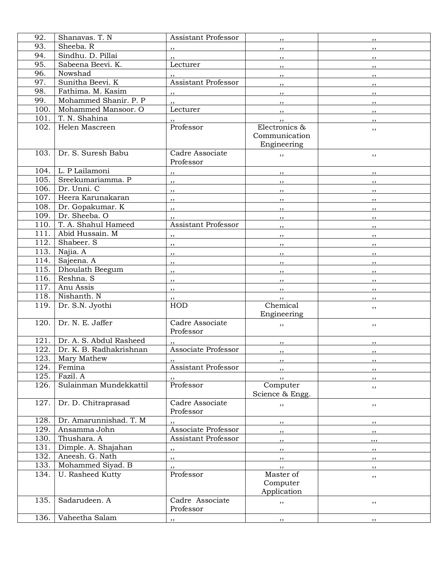| 92.               | Shanavas. T. N          | Assistant Professor        | , ,                     | ,,           |
|-------------------|-------------------------|----------------------------|-------------------------|--------------|
| 93.               | Sheeba. R               | ,,                         | , ,                     | , ,          |
| 94.               | Sindhu. D. Pillai       | , 2                        | , ,                     | , ,          |
| 95.               | Sabeena Beevi. K.       | Lecturer                   | ,,                      | , ,          |
| 96.               | Nowshad                 |                            | $, \,$                  | , ,          |
| 97.               | Sunitha Beevi. K        | Assistant Professor        | ,,                      | , ,          |
| 98.               | Fathima. M. Kasim       |                            |                         |              |
| 99.               | Mohammed Shanir. P. P   | $\overline{\mathbf{22}}$   | $, \,$                  | , ,          |
| 100.              | Mohammed Mansoor. O     | ,,<br>Lecturer             | ,,                      | , ,          |
| 101.              | T. N. Shahina           |                            | , ,                     | , ,          |
| 102.              | Helen Mascreen          | Professor                  | $, \,$<br>Electronics & | , ,          |
|                   |                         |                            | Communication           | ,,           |
|                   |                         |                            | Engineering             |              |
| 103.              | Dr. S. Suresh Babu      | Cadre Associate            |                         |              |
|                   |                         | Professor                  | ,,                      | ,,           |
|                   | 104. L. P Lailamoni     |                            |                         |              |
| 105.              | Sreekumariamma. P       | ,,                         | , ,                     | , ,          |
| 106.              | Dr. Unni. C             | ,,                         | ,,                      | , ,          |
| 107.              | Heera Karunakaran       | , ,                        | ,,                      | $, \,$       |
|                   |                         | ,,                         | ,,                      | , ,          |
| 108.              | Dr. Gopakumar. K        | , ,                        | , ,                     | , ,          |
| 109.              | Dr. Sheeba. O           | ,,                         | ,,                      | ,,           |
| 110.              | T. A. Shahul Hameed     | <b>Assistant Professor</b> | $, \,$                  | $, \,$       |
| 111.              | Abid Hussain. M         | ,,                         | ,,                      | , ,          |
| 112.              | Shabeer. S              | $, \,$                     | ,,                      | $, \,$       |
| 113.              | Najia. A                | ,,                         | $, \,$                  | , ,          |
| 114.              | Sajeena. A              | ,,                         | $, \,$                  | , ,          |
| 115.              | Dhoulath Beegum         | ,,                         | $, \,$                  | , ,          |
| 116.              | Reshna. S               | ,,                         | , ,                     | , ,          |
| 117.              | Anu Assis               | ,,                         | ,,                      | ,,           |
| 118.              | Nishanth. N             | ,,                         | $, \,$                  | , ,          |
| 119.              | Dr. S.N. Jyothi         | HOD                        | Chemical                | ,,           |
|                   |                         |                            | Engineering             |              |
| $\overline{1}20.$ | Dr. N. E. Jaffer        | Cadre Associate            | ,,                      | ,,           |
|                   |                         | Professor                  |                         |              |
| 121.              | Dr. A. S. Abdul Rasheed |                            | $, \,$                  | ,,           |
| 122.              | Dr. K. B. Radhakrishnan | Associate Professor        | $, \,$                  | , ,          |
| 123.              | Mary Mathew             |                            | $, \, \cdot$            | $, \, \cdot$ |
| 124.              | Femina                  | Assistant Professor        | $, \,$                  | ,,           |
| 125.              | Fazil. A                |                            | , ,                     | ,,           |
| 126.              | Sulainman Mundekkattil  | Professor                  | Computer                | ,,           |
|                   |                         |                            | Science & Engg.         |              |
| 127.              | Dr. D. Chitraprasad     | Cadre Associate            | ,,                      | ,,           |
|                   |                         | Professor                  |                         |              |
| 128.              | Dr. Amarunnishad. T. M  |                            | , ,                     | ,,           |
| 129.              | Ansamma John            | Associate Professor        |                         |              |
| 130.              | Thushara. A             | <b>Assistant Professor</b> | ,,<br>,,                | ,,<br>,,,    |
| 131.              | Dimple. A. Shajahan     |                            |                         |              |
| 132.              | Aneesh. G. Nath         | ,,                         | , ,                     | , ,          |
| 133.              | Mohammed Siyad. B       | ,,                         | $, \,$                  | ,,           |
| 134.              | U. Rasheed Kutty        | Professor                  | $, \,$<br>Master of     | $, \,$       |
|                   |                         |                            | Computer                | ,,           |
|                   |                         |                            | Application             |              |
| 135.              | Sadarudeen. A           | Cadre Associate            |                         |              |
|                   |                         | Professor                  | ,,                      | ,,           |
| 136.              | Vaheetha Salam          |                            |                         |              |
|                   |                         | ,,                         | ,,                      | ,,           |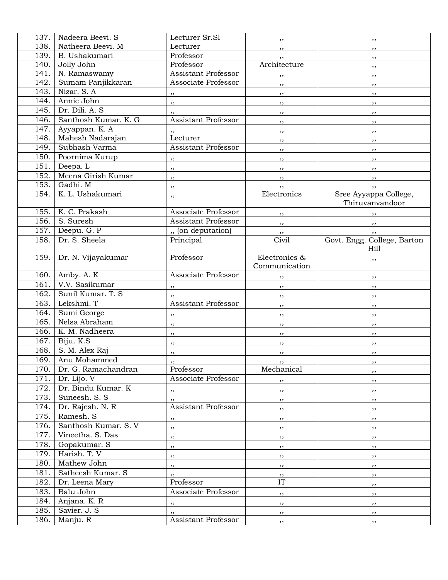| 137. | Nadeera Beevi. S         | Lecturer Sr.Sl             | , ,                    | ,,                          |
|------|--------------------------|----------------------------|------------------------|-----------------------------|
| 138. | Natheera Beevi. M        | Lecturer                   | $, \,$                 | , ,                         |
| 139. | B. Ushakumari            | Professor                  | , ,                    | $, \,$                      |
| 140. | Jolly John               | Professor                  | Architecture           | $, \,$                      |
| 141. | N. Ramaswamy             | Assistant Professor        | ,,                     | , ,                         |
| 142. | Sumam Panjikkaran        | Associate Professor        | $, \,$                 | $, \,$                      |
| 143. | Nizar. S. A              | $, \,$                     | , ,                    | , ,                         |
| 144. | Annie John               | $, \,$                     | , ,                    | $, \,$                      |
| 145. | Dr. Dili. A. S           | $, \,$                     | , ,                    | , ,                         |
| 146. | Santhosh Kumar, K. G.    | <b>Assistant Professor</b> | $, \,$                 | , ,                         |
| 147. | Ayyappan. K. A           | $, \,$                     | , ,                    | $, \,$                      |
| 148. | Mahesh Nadarajan         | Lecturer                   | , ,                    | $, \,$                      |
| 149. | Subhash Varma            | <b>Assistant Professor</b> | ,,                     | , ,                         |
| 150. | Poornima Kurup           | $, \,$                     | , ,                    | $, \,$                      |
| 151. | Deepa. L                 | ,,                         | , ,                    | , ,                         |
| 152. | Meena Girish Kumar       | ,,                         | , ,                    | $\overline{\phantom{a}}$    |
| 153. | Gadhi. M                 | $, \,$                     | , ,                    | , ,                         |
| 154. | K. L. Ushakumari         | ,,                         | Electronics            | Sree Ayyappa College,       |
|      |                          |                            |                        | Thiruvanvandoor             |
| 155. | K. C. Prakash            | Associate Professor        | , ,                    | , ,                         |
| 156. | S. Suresh                | Assistant Professor        | , ,                    | , ,                         |
| 157. | Deepu. G. P              | ", (on deputation)         | $, \, , \,$            | , ,                         |
| 158. | Dr. S. Sheela            | Principal                  | Civil                  | Govt. Engg. College, Barton |
|      |                          |                            |                        | Hill                        |
| 159. | Dr. N. Vijayakumar       | Professor                  | Electronics &          | ,,                          |
|      |                          |                            | Communication          |                             |
| 160. | Amby. A. K               | Associate Professor        | $, \,$                 | , ,                         |
| 161. | V.V. Sasikumar           | $, \,$                     | , ,                    | , ,                         |
| 162. | Sunil Kumar. T. S.       | $, \,$                     | , ,                    | $, \,$                      |
| 163. | Lekshmi. T               | <b>Assistant Professor</b> | $, \,$                 | , ,                         |
| 164. | Sumi George              | , ,                        | $, \,$                 | , ,                         |
| 165. | Nelsa Abraham            | $, \,$                     | , ,                    | , ,                         |
| 166. | K. M. Nadheera           | $, \,$                     | $, \,$                 | , ,                         |
| 167. | Biju. K.S                | ,,                         | , ,                    | , ,                         |
| 168. | S. M. Alex Raj           | ,,                         | , ,                    | $, \,$                      |
| 169. | Anu Mohammed             | $, \, \,$                  | , , ,                  | ,,                          |
|      | 170. Dr. G. Ramachandran | Professor                  | Mechanical             | $, \,$                      |
| 171. | Dr. Lijo. V              | Associate Professor        | $, \,$                 | , ,                         |
| 172. | Dr. Bindu Kumar. K       | ,,                         | , ,                    | , ,                         |
| 173. | Suneesh. S. S.           | , ,                        | , ,                    | , ,                         |
| 174. | Dr. Rajesh. N. R         | <b>Assistant Professor</b> | , ,                    | , ,                         |
| 175. | Ramesh. S                | , ,                        | , ,                    | , ,                         |
| 176. | Santhosh Kumar. S. V     | ,,                         | , ,                    | , ,                         |
| 177. | Vineetha. S. Das         | ,,                         | , ,                    | $, \, \,$                   |
| 178. | Gopakumar. S             | ,,                         | $, \, , \,$            | , ,                         |
| 179. | Harish. T. V             | , ,                        | , ,                    | , ,                         |
| 180. | Mathew John              | $, \,$                     | , ,                    | , ,                         |
| 181. | Satheesh Kumar. S        | $, \,$                     | , ,                    | , ,                         |
| 182. | Dr. Leena Mary           | Professor                  | $\overline{\text{IT}}$ | $, \,$                      |
| 183. | Balu John                | Associate Professor        | $, \, , \,$            | , ,                         |
| 184. | Anjana. K. R             | $\cdots$                   | , ,                    | , ,                         |
| 185. | Savier. J. S             | $, \,$                     | , ,                    | , ,                         |
| 186. | Manju. R                 | <b>Assistant Professor</b> | , ,                    | , ,                         |
|      |                          |                            |                        |                             |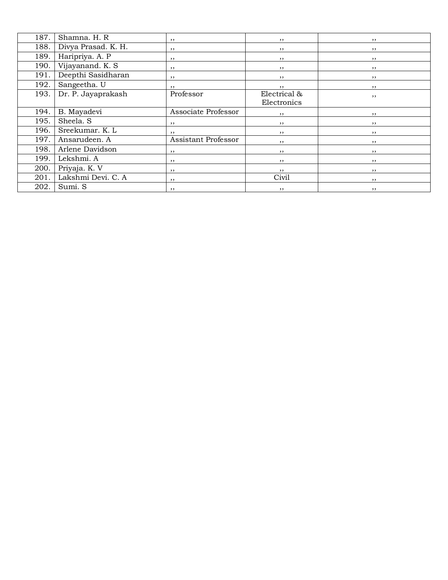| 187. | Shamna. H. R        | , ,                 | , ,          | , , |
|------|---------------------|---------------------|--------------|-----|
| 188. | Divya Prasad. K. H. | $, \,$              | , ,          | ,,  |
| 189. | Haripriya. A. P     | ,,                  | , ,          | , , |
| 190. | Vijayanand. K. S    | ,,                  | , ,          | , , |
| 191. | Deepthi Sasidharan  | , ,                 | , ,          | , , |
| 192. | Sangeetha. U        | ,,                  | ,,           | ,,  |
| 193. | Dr. P. Jayaprakash  | Professor           | Electrical & | , , |
|      |                     |                     | Electronics  |     |
| 194. | B. Mayadevi         | Associate Professor | , ,          | ,,  |
| 195. | Sheela. S           | ,,                  | , ,          | , , |
| 196. | Sreekumar. K. L     | ,,                  | , ,          | , , |
| 197. | Ansarudeen. A       | Assistant Professor | ,,           | ,,  |
| 198. | Arlene Davidson     | ,,                  | , ,          | , , |
| 199. | Lekshmi. A          | ,,                  | , ,          | , , |
| 200. | Priyaja. K. V       | ,,                  | ,,           | , , |
| 201. | Lakshmi Devi. C. A  | ,,                  | Civil        | ,,  |
| 202. | Sumi. S             | ,,                  | , ,          | , , |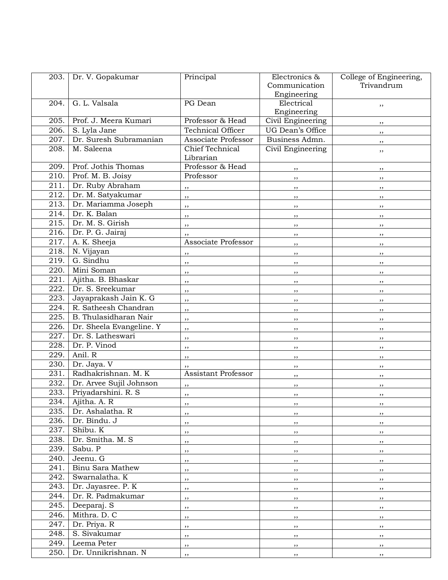| 203. | Dr. V. Gopakumar         | Principal                | Electronics &     | College of Engineering, |
|------|--------------------------|--------------------------|-------------------|-------------------------|
|      |                          |                          | Communication     | Trivandrum              |
|      |                          |                          | Engineering       |                         |
| 204. | G. L. Valsala            | PG Dean                  | Electrical        | ,,                      |
|      |                          |                          | Engineering       |                         |
| 205. | Prof. J. Meera Kumari    | Professor & Head         | Civil Engineering | $, \,$                  |
| 206. | S. Lyla Jane             | <b>Technical Officer</b> | UG Dean's Office  | $, \,$                  |
| 207. | Dr. Suresh Subramanian   | Associate Professor      | Business Admn.    | , ,                     |
| 208. | M. Saleena               | Chief Technical          | Civil Engineering | ,,                      |
|      |                          | Librarian                |                   |                         |
| 209. | Prof. Jothis Thomas      | Professor & Head         | $, \,$            | ,,                      |
| 210. | Prof. M. B. Joisy        | Professor                | $, \,$            | $, \,$                  |
| 211. | Dr. Ruby Abraham         | ,,                       | , ,               | ,,                      |
| 212. | Dr. M. Satyakumar        | ,,                       | , ,               | , ,                     |
| 213. | Dr. Mariamma Joseph      | ,,                       | , ,               | $, \,$                  |
| 214. | Dr. K. Balan             | ,,                       | , ,               | $, \,$                  |
| 215. | Dr. M. S. Girish         | ,,                       | , ,               | , ,                     |
| 216. | Dr. P. G. Jairaj         | ,,                       | , ,               | , ,                     |
| 217. | A. K. Sheeja             | Associate Professor      | $, \,$            | $, \,$                  |
| 218. | N. Vijayan               | , ,                      | $, \,$            | $, \,$                  |
| 219. | G. Sindhu                | , ,                      | , ,               | , ,                     |
| 220. | Mini Soman               | ,,                       | $, \,$            | $, \,$                  |
| 221. | Ajitha. B. Bhaskar       | ,,                       | ,,                | , ,                     |
| 222. | Dr. S. Sreekumar         | , ,                      | , ,               | , ,                     |
| 223. | Jayaprakash Jain K. G    | ,,                       | $, \,$            | $, \,$                  |
| 224. | R. Satheesh Chandran     | ,,                       | ,,                | ,,                      |
| 225. | B. Thulasidharan Nair    | ,,                       | , ,               | $, \,$                  |
| 226. | Dr. Sheela Evangeline. Y | ,,                       | , ,               | , ,                     |
| 227. | Dr. S. Latheswari        | ,,                       | , ,               | $, \,$                  |
| 228. | Dr. P. Vinod             | ,,                       | ,,                | , ,                     |
| 229. | Anil. R                  | ,,                       | $, \,$            | $, \,$                  |
| 230. | Dr. Jaya. V              | ,,                       | , ,               | , ,                     |
| 231. | Radhakrishnan. M. K      | Assistant Professor      | , ,               | $, \,$                  |
| 232. | Dr. Arvee Sujil Johnson  | ,,                       | , ,               | $, \,$                  |
| 233. | Priyadarshini. R. S.     | ,,                       | , ,               | $, \,$                  |
| 234. | Ajitha. A. R             | $, \,$                   | $, \,$            | $, \,$                  |
| 235. | Dr. Ashalatha. R         | ,,                       | , ,               | , ,                     |
| 236. | Dr. Bindu. J             | ,,                       | , ,               | , ,                     |
| 237. | Shibu. K                 | ,,                       | , ,               | , ,                     |
| 238. | Dr. Smitha. M. S         | ,,                       | $, \,$            | $, \,$                  |
| 239. | Sabu. P                  | ,,                       | , ,               | , ,                     |
| 240. | Jeenu. G                 |                          |                   |                         |
| 241. | Binu Sara Mathew         | , ,                      | , ,               | , ,                     |
| 242. | Swarnalatha. K           | , ,                      | , ,               | $, \,$                  |
| 243. | Dr. Jayasree. P. K       | ,,                       | , ,               | ,,                      |
| 244. | Dr. R. Padmakumar        | ,,                       | , ,               | , ,                     |
| 245. | Deeparaj. S              | , ,                      | $, \,$            | , ,                     |
| 246. | Mithra. D. C             | , ,                      | , ,               | $, \,$                  |
| 247. | Dr. Priya. R             | , ,                      | $, \,$            | , ,                     |
| 248. | S. Sivakumar             | , ,                      | , ,               | , ,                     |
| 249. | Leema Peter              | ,,                       | , ,               | $, \,$                  |
| 250. | Dr. Unnikrishnan. N      | ,,                       | , ,               | , ,                     |
|      |                          | , ,                      | , ,               | , ,                     |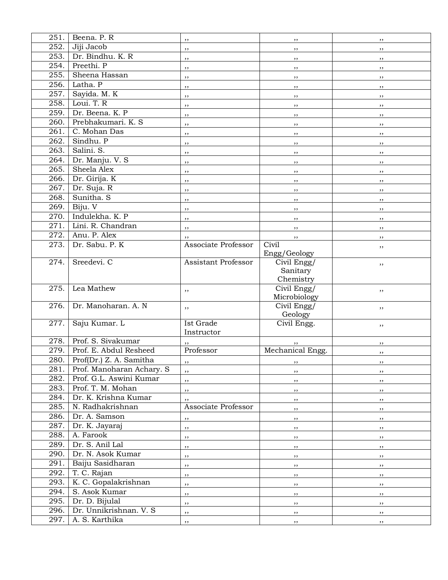| 251. | Beena. P. R               | $, \,$                     | $, \,$           | , ,    |
|------|---------------------------|----------------------------|------------------|--------|
| 252. | Jiji Jacob                | ,,                         | $, \,$           | , ,    |
| 253. | Dr. Bindhu. K. R          | ,,                         | , ,              | $, \,$ |
| 254. | Preethi. P                | , ,                        | , ,              | , ,    |
| 255. | Sheena Hassan             | ,,                         | $, \,$           | , ,    |
| 256. | Latha. P                  | ,,                         | ,,               | ,,     |
| 257. | Sayida. M. K              | ,,                         | ,,               | , ,    |
| 258. | Loui. T. R                | , ,                        | , ,              | , ,    |
| 259. | Dr. Beena. K. P           | , ,                        | , ,              | ,,     |
| 260. | Prebhakumari. K. S.       |                            |                  |        |
| 261. | C. Mohan Das              | , ,                        | $, \,$           | , ,    |
| 262. | Sindhu. P                 | $, \,$                     | , ,              | , ,    |
| 263. | Salini. S.                | ,,                         | , ,              | $, \,$ |
| 264. | Dr. Manju. V. S           | ,,                         | , ,              | $, \,$ |
| 265. | Sheela Alex               | ,,                         | $, \, , \,$      | , ,    |
| 266. | Dr. Girija. K             | ,,                         | $, \, , \,$      | , ,    |
| 267. | Dr. Suja. R               | $, \,$                     | , ,              | ,,     |
|      |                           | ,,                         | $, \,$           | , ,    |
| 268. | Sunitha. S                | ,,                         | ,,               | ,,     |
| 269. | Biju. V                   | ,,                         | , ,              | , ,    |
| 270. | Indulekha. K. P           | $, \,$                     | $, \,$           | , ,    |
| 271. | Lini. R. Chandran         | ,,                         | , ,              | , ,    |
| 272. | Anu. P. Alex              | $, \,$                     | , ,              | ,,     |
| 273. | Dr. Sabu. P. K            | Associate Professor        | Civil            | ,,     |
|      |                           |                            | Engg/Geology     |        |
| 274. | Sreedevi. C               | <b>Assistant Professor</b> | Civil Engg/      | ,,     |
|      |                           |                            | Sanitary         |        |
|      |                           |                            | Chemistry        |        |
| 275. | Lea Mathew                | ,,                         | Civil Engg/      | ,,     |
|      |                           |                            | Microbiology     |        |
| 276. | Dr. Manoharan. A. N       | ,,                         | $Civil$ Engg/    | ,,     |
| 277. | Saju Kumar. L             | Ist Grade                  | Geology          |        |
|      |                           | Instructor                 | Civil Engg.      | ,,     |
| 278. | Prof. S. Sivakumar        |                            |                  |        |
| 279. | Prof. E. Abdul Resheed    | Professor                  | Mechanical Engg. | ,,     |
| 280. |                           |                            |                  | ,,     |
|      | Prof(Dr.) Z. A. Samitha   | ,,                         |                  |        |
| 281. | Prof. Manoharan Achary. S | $, \,$                     | $, \,$           | $, \,$ |
| 282. | Prof. G.L. Aswini Kumar   | ,,                         | , ,              | , ,    |
| 283. | Prof. T. M. Mohan         | ,,                         | , ,              | , ,    |
| 284. | Dr. K. Krishna Kumar      | , ,                        | , ,              | , ,    |
| 285. | N. Radhakrishnan          | Associate Professor        | , ,              | , ,    |
| 286. | Dr. A. Samson             | $, \,$                     | ,,               | ,,     |
| 287. | Dr. K. Jayaraj            | ,,                         | , ,              | , ,    |
| 288. | A. Farook                 | , ,                        | , ,              | , ,    |
| 289. | Dr. S. Anil Lal           | $, \,$                     | $, \, , \,$      | ,,     |
| 290. | Dr. N. Asok Kumar         | ,,                         | $, \, , \,$      | ,,     |
| 291. | Baiju Sasidharan          | ,,                         | $, \, , \,$      | ,,     |
| 292. | T. C. Rajan               | ,,                         | , ,              | , ,    |
| 293. | K. C. Gopalakrishnan      | ,,                         | ,,               | ,,     |
| 294. | S. Asok Kumar             | , ,                        | , ,              | , ,    |
| 295. | Dr. D. Bijulal            | , ,                        | , ,              | , ,    |
| 296. | Dr. Unnikrishnan. V. S    | $, \,$                     | $, \,$           | $, \,$ |
| 297. | A. S. Karthika            | ,,                         | , ,              | $, \,$ |
|      |                           |                            |                  |        |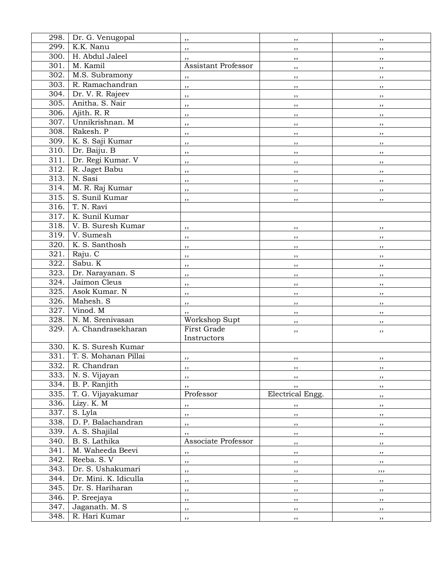| 298.               | Dr. G. Venugopal      | ,,                  | ,,               | , ,    |
|--------------------|-----------------------|---------------------|------------------|--------|
| 299.               | K.K. Nanu             | ,,                  | ,,               | ,,     |
| 300.               | H. Abdul Jaleel       | ,,                  | ,,               | ,,     |
| 301.               | M. Kamil              | Assistant Professor | , ,              | ,,     |
| 302.               | M.S. Subramony        | , ,                 | ,,               | ,,     |
| 303.               | R. Ramachandran       | ,,                  | ,,               | ,,     |
| 304.               | Dr. V. R. Rajeev      | ,,                  | ,,               | ,,     |
| 305.               | Anitha. S. Nair       | ,,                  | ,,               | $, \,$ |
| $\overline{306}$ . | Ajith. R. R           | ,,                  | ,,               | $, \,$ |
| 307.               | Unnikrishnan. M       | ,,                  | ,,               | ,,     |
| 308.               | Rakesh. P             |                     |                  |        |
| 309.               | K. S. Saji Kumar      | ,,                  | ,,               | ,,     |
| 310.               | Dr. Baiju. B          | ,,                  | ,,               | ,,     |
| 311.               | Dr. Regi Kumar. V     | ,,                  | ,,               | $, \,$ |
| 312.               | R. Jaget Babu         | , ,                 | ,,               | ,,     |
| 313.               | N. Sasi               | ,,                  | , ,              | , ,    |
| 314.               | M. R. Raj Kumar       | ,,                  | ,,               | $, \,$ |
| 315.               | S. Sunil Kumar        | ,,                  | ,,               | ,,     |
| 316.               | T. N. Ravi            | ,,                  | ,,               | ,,     |
| 317.               | K. Sunil Kumar        |                     |                  |        |
|                    | V. B. Suresh Kumar    |                     |                  |        |
| 318.               |                       | ,,                  | ,,               | , ,    |
| 319.               | V. Sumesh             | ,,                  | ,,               | , ,    |
| 320.               | K. S. Santhosh        | ,,                  | ,,               | $, \,$ |
| 321.               | Raju. C               | ,,                  | ,,               | $, \,$ |
| 322.               | Sabu. K               | ,,                  | , ,              | , ,    |
| $\overline{3}23.$  | Dr. Narayanan. S      | ,,                  | ,,               | ,,     |
| 324.               | Jaimon Cleus          | ,,                  | ,,               | ,,     |
| 325.               | Asok Kumar. N         | ,,                  | ,,               | $, \,$ |
| 326.               | Mahesh. S             | ,,                  | , ,              | , ,    |
| 327.               | Vinod. M              | ,,                  | ,,               | $, \,$ |
| 328.               | N. M. Srenivasan      | Workshop Supt       | ,,               | ,,     |
| 329.               | A. Chandrasekharan    | First Grade         | ,,               | , ,    |
|                    |                       | Instructors         |                  |        |
| $\overline{3}30.$  | K. S. Suresh Kumar    |                     |                  |        |
| 331.               | T. S. Mohanan Pillai  | ,,                  | , ,              | ,,     |
| 332.               | R. Chandran           | ,,                  | $, \,$           | $, \,$ |
| 333.               | N. S. Vijayan         | ,,                  | , ,              | , ,    |
| 334.               | B. P. Ranjith         | ,,                  | , ,              | , ,    |
| 335.               | T. G. Vijayakumar     | Professor           | Electrical Engg. | $, \,$ |
| 336.               | Lizy. K. M            | ,,                  | $, \,$           | , ,    |
| 337.               | S. Lyla               | ,,                  | ,,               | , ,    |
| 338.               | D. P. Balachandran    | ,,                  | $, \,$           | , ,    |
| 339.               | A. S. Shajilal        | ,,                  | $, \, , \,$      | , ,    |
| 340.               | B. S. Lathika         | Associate Professor | , ,              | , ,    |
| 341.               | M. Waheeda Beevi      | ,,                  | $, \, , \,$      | ,,     |
| 342.               | Reeba. S. V           | , ,                 | $, \, , \,$      | , ,    |
| 343.               | Dr. S. Ushakumari     | ,,                  | , ,              | ,,,    |
| 344.               | Dr. Mini. K. Idiculla | $, \,$              | $, \, , \,$      | , ,    |
| 345.               | Dr. S. Hariharan      | $, \,$              | $, \, , \,$      | ,,     |
| 346.               | P. Sreejaya           | ,,                  | $, \, , \,$      | ,,     |
| 347.               | Jaganath. M. S        | ,,                  | $, \,$           | , ,    |
| 348.               | R. Hari Kumar         |                     |                  |        |
|                    |                       | $, \,$              | ,,               | , ,    |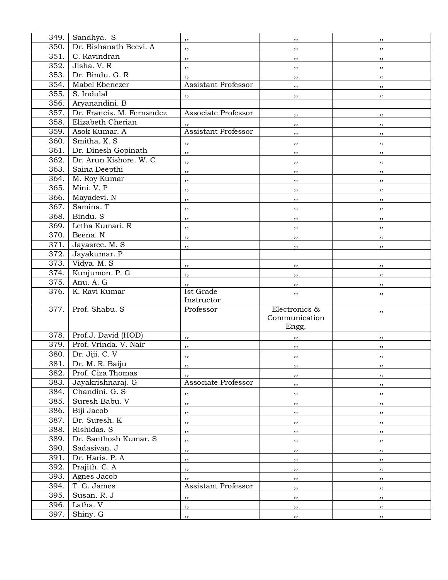| 349. | Sandhya. S                | , ,                      | , ,           | $, \,$ |
|------|---------------------------|--------------------------|---------------|--------|
| 350. | Dr. Bishanath Beevi. A    | , ,                      | , ,           | , ,    |
| 351. | C. Ravindran              | ,,                       | $, \,$        | , ,    |
| 352. | Jisha. V. R               | , ,                      | , ,           | , ,    |
| 353. | Dr. Bindu. G. R           | $, \,$                   | , ,           | , ,    |
| 354. | Mabel Ebenezer            | Assistant Professor      | , ,           |        |
| 355. | S. Indulal                |                          |               | ,,     |
| 356. | Aryanandini. B            | ,,                       | , ,           | , ,    |
| 357. | Dr. Francis. M. Fernandez | Associate Professor      |               |        |
| 358. | Elizabeth Cherian         |                          | $, \, \,$     | , ,    |
| 359. | Asok Kumar. A             | Assistant Professor      | $, \,$        | $, \,$ |
| 360. | Smitha. K. S              |                          | $, \, \,$     | ,,     |
|      |                           | ,,                       | $, \, \,$     | $, \,$ |
| 361. | Dr. Dinesh Gopinath       | ,,                       | $, \,$        | , ,    |
| 362. | Dr. Arun Kishore. W. C    | , ,                      | , ,           | , ,    |
| 363. | Saina Deepthi             | , ,                      | , ,           | , ,    |
| 364. | M. Roy Kumar              | , ,                      | , ,           | , ,    |
| 365. | Mini, V. P                | $, \,$                   | $, \,$        | , ,    |
| 366. | Mayadevi. N               | $, \,$                   | , ,           | , ,    |
| 367. | Samina. T                 | , ,                      | , ,           | , ,    |
| 368. | Bindu. S                  | , ,                      | $, \,$        | , ,    |
| 369. | Letha Kumari. R           | , ,                      | , ,           | , ,    |
| 370. | Beena. N                  | , ,                      | , ,           | , ,    |
| 371. | Jayasree. M. S            | , ,                      | , ,           | , ,    |
| 372. | Jayakumar. P              |                          |               |        |
| 373. | Vidya. M. S               | $\overline{\phantom{a}}$ | $, \, \,$     | $, \,$ |
| 374. | Kunjumon. P. G            | $\overline{\phantom{a}}$ | $, \, \,$     | ,,     |
| 375. | Anu. A. G                 | , ,                      | ,,            | $, \,$ |
| 376. | K. Ravi Kumar             | Ist Grade                | ,,            | ,,     |
|      |                           | Instructor               |               |        |
| 377. | Prof. Shabu. S            | Professor                | Electronics & | ,,     |
|      |                           |                          | Communication |        |
|      |                           |                          | Engg.         |        |
| 378. | Prof.J. David (HOD)       | $, \,$                   | , ,           | ,,     |
| 379. | Prof. Vrinda. V. Nair     | , ,                      | $, \, , \,$   | , ,    |
| 380. | Dr. Jiji. C. V            | , ,                      | , ,           | , ,    |
| 381. | Dr. M. R. Baiju           | ,,                       | , ,           | $, \,$ |
| 382. | Prof. Ciza Thomas         | , ,                      | , ,           | , ,    |
| 383. | Jayakrishnaraj. G         | Associate Professor      | , ,           | , ,    |
| 384. | Chandini, G. S.           | $, \, , \,$              | $, \,$        | , ,    |
| 385. | Suresh Babu. V            | ,,                       | ,,            | $, \,$ |
| 386. | Biji Jacob                | , ,                      | $, \,$        | , ,    |
| 387. | Dr. Suresh. K             | ,,                       | $, \,$        | , ,    |
| 388. | Rishidas. S               | ,,                       | , ,           | , ,    |
| 389. | Dr. Santhosh Kumar. S     | , ,                      | $, \,$        | , ,    |
| 390. | Sadasivan. J              | $, \,$                   | , ,           | , ,    |
| 391. | Dr. Haris. P. A           | $, \,$                   | $, \, , \,$   | $, \,$ |
| 392. | Prajith. C. A             | ,,                       | , ,           | , ,    |
| 393. | Agnes Jacob               | $, \,$                   | , ,           | , ,    |
| 394. | T. G. James               | Assistant Professor      | , ,           | , ,    |
| 395. | Susan. R. J               | ,,                       | , ,           | , ,    |
| 396. | Latha. V                  | ,,                       | , ,           | , ,    |
| 397. | Shiny. G                  | ,,                       | $, \, , \,$   | ,,     |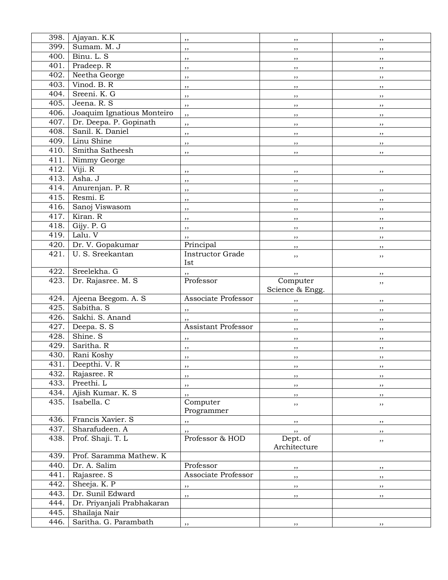| 398. | Ajayan. K.K                | ,,                             | $, \,$          | ,,     |
|------|----------------------------|--------------------------------|-----------------|--------|
| 399. | Sumam. M. J                | ,,                             | $, \,$          | $, \,$ |
| 400. | Binu. L. S                 | ,,                             | , ,             | , ,    |
| 401. | Pradeep. R                 | , ,                            | , ,             | , ,    |
| 402. | Neetha George              | ,,                             | $, \,$          | , ,    |
| 403. | Vinod, B. R.               | ,,                             | $, \,$          | ,,     |
| 404. | Sreeni. K. G               | ,,                             | $, \,$          | $, \,$ |
| 405. | Jeena. R. S                | , ,                            | , ,             | , ,    |
| 406. | Joaquim Ignatious Monteiro | , ,                            |                 |        |
| 407. | Dr. Deepa. P. Gopinath     |                                | $, \,$          | $, \,$ |
| 408. | Sanil. K. Daniel           | ,,                             | $, \,$          | ,,     |
| 409. | Linu Shine                 | ,,                             | , ,             | , ,    |
| 410. | Smitha Satheesh            | ,,                             | , ,             | , ,    |
| 411. | Nimmy George               | $, \,$                         | ,,              | $, \,$ |
| 412. | Viji. R                    |                                |                 |        |
| 413. | Asha. J                    | ,,                             | , ,             | , ,    |
|      |                            | , ,                            | $, \,$          |        |
| 414. | Anurenjan. P. R            | ,,                             | $, \,$          | , ,    |
| 415. | Resmi. E                   | ,,                             | ,,              | ,,     |
| 416. | Sanoj Viswasom             | , ,                            | , ,             | , ,    |
| 417. | Kiran. R                   | ,,                             | $, \,$          | $, \,$ |
| 418. | Gijy. P. G                 | $, \,$                         | , ,             | , ,    |
| 419. | Lalu. V                    | ,,                             | , ,             | , ,    |
| 420. | Dr. V. Gopakumar           | Principal                      | , ,             | , ,    |
| 421. | U.S. Sreekantan            | <b>Instructor Grade</b><br>Ist | ,,              | ,,     |
| 422. | Sreelekha. G               | ,,                             | ,,              | , ,    |
| 423. | Dr. Rajasree. M. S         | Professor                      | Computer        | ,,     |
|      |                            |                                | Science & Engg. |        |
| 424. | Ajeena Beegom. A. S        | Associate Professor            | , ,             | , ,    |
| 425. | Sabitha. S                 | ,,                             | , ,             | $, \,$ |
| 426. | Sakhi. S. Anand            | ,,                             | $, \,$          | $, \,$ |
| 427. | Deepa. S. S                | Assistant Professor            | $, \,$          | ,,     |
| 428. | Shine. S                   | $, \,$                         | , ,             | , ,    |
| 429. | Saritha. R                 | , ,                            | , ,             | , ,    |
| 430. | Rani Koshy                 | , ,                            | ,,              | ,,     |
| 431. | Deepthi. V. R              | , ,                            | , ,             | $, \,$ |
| 432. | Rajasree. R                | $, \,$                         | , ,             | $, \,$ |
| 433. | Preethi. L                 | ,,                             | , ,             | , ,    |
| 434. | Ajish Kumar. K. S.         | , ,                            | , ,             | , ,    |
| 435. | Isabella. C                | Computer                       |                 |        |
|      |                            | Programmer                     | ,,              | ,,     |
| 436. | Francis Xavier. S          | $, \,$                         | , ,             | , ,    |
| 437. | Sharafudeen. A             | ,,                             | , ,             | , ,    |
| 438. | Prof. Shaji. T. L          | Professor & HOD                | Dept. of        | ,,     |
|      |                            |                                | Architecture    |        |
| 439. | Prof. Saramma Mathew. K    |                                |                 |        |
| 440. | Dr. A. Salim               | Professor                      | , ,             | $, \,$ |
| 441. | Rajasree. S                | Associate Professor            | , ,             | , ,    |
| 442. | Sheeja. K. P               |                                |                 |        |
| 443. | Dr. Sunil Edward           | ,,                             | , ,             | ,,     |
| 444. | Dr. Priyanjali Prabhakaran | ,,                             | $, \,$          | ,,     |
| 445. | Shailaja Nair              |                                |                 |        |
| 446. | Saritha. G. Parambath      |                                |                 |        |
|      |                            | ,,                             | $, \,$          | ,,     |